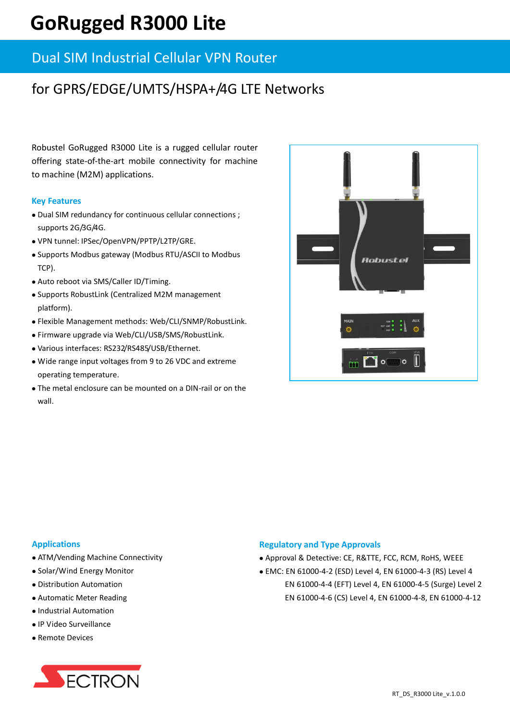# **GoRugged R3000 Lite**

### Dual SIM Industrial Cellular VPN Router

## for GPRS/EDGE/UMTS/HSPA+/4G LTE Networks

Robustel GoRugged R3000 Lite is a rugged cellular router offering state-of-the-art mobile connectivity for machine to machine (M2M) applications.

#### **Key Features**

- Dual SIM redundancy for continuous cellular connections ; supports 2G/3G/4G.
- VPN tunnel: IPSec/OpenVPN/PPTP/L2TP/GRE.
- Supports Modbus gateway (Modbus RTU/ASCII to Modbus TCP).
- Auto reboot via SMS/Caller ID/Timing.
- Supports RobustLink (Centralized M2M management platform).
- Flexible Management methods: Web/CLI/SNMP/RobustLink.
- Firmware upgrade via Web/CLI/USB/SMS/RobustLink.
- Various interfaces: RS232/RS485/USB/Ethernet.
- Wide range input voltages from 9 to 26 VDC and extreme operating temperature.
- The metal enclosure can be mounted on a DIN-rail or on the wall.



#### **Applications**

- ATM/Vending Machine Connectivity
- Solar/Wind Energy Monitor
- Distribution Automation
- Automatic Meter Reading
- Industrial Automation
- IP Video Surveillance
- Remote Devices



#### **Regulatory and Type Approvals**

- Approval & Detective: CE, R&TTE, FCC, RCM, RoHS, WEEE
- EMC: EN 61000-4-2 (ESD) Level 4, EN 61000-4-3 (RS) Level 4 EN 61000-4-4 (EFT) Level 4, EN 61000-4-5 (Surge) Level 2 EN 61000-4-6 (CS) Level 4, EN 61000-4-8, EN 61000-4-12